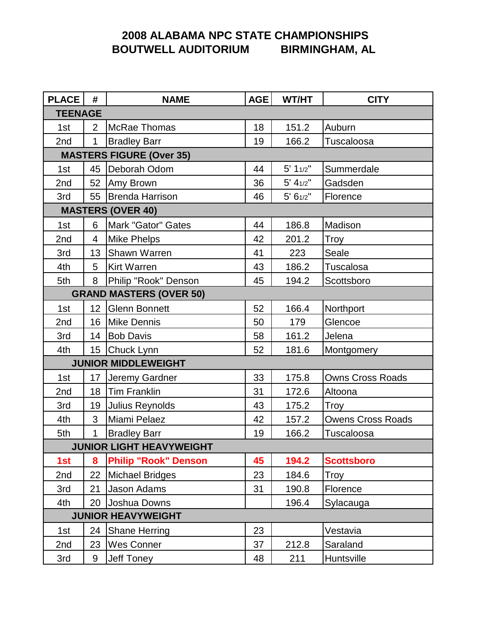# **2008 ALABAMA NPC STATE CHAMPIONSHIPS BOUTWELL AUDITORIUM BIRMINGHAM, AL**

| <b>PLACE</b>                    | #              | <b>NAME</b>                     | AGE | WT/HT          | <b>CITY</b>              |  |  |  |
|---------------------------------|----------------|---------------------------------|-----|----------------|--------------------------|--|--|--|
| <b>TEENAGE</b>                  |                |                                 |     |                |                          |  |  |  |
| 1st                             | $\overline{2}$ | McRae Thomas                    | 18  | 151.2          | Auburn                   |  |  |  |
| 2nd                             | $\mathbf{1}$   | <b>Bradley Barr</b>             | 19  | 166.2          | Tuscaloosa               |  |  |  |
| <b>MASTERS FIGURE (Over 35)</b> |                |                                 |     |                |                          |  |  |  |
| 1st                             |                | 45   Deborah Odom               | 44  | 5' 11/2"       | Summerdale               |  |  |  |
| 2nd                             |                | 52 Amy Brown                    | 36  | $5' 4_{1/2}''$ | Gadsden                  |  |  |  |
| 3rd                             |                | 55   Brenda Harrison            | 46  | 5' 61/2"       | Florence                 |  |  |  |
| <b>MASTERS (OVER 40)</b>        |                |                                 |     |                |                          |  |  |  |
| 1st                             | 6              | Mark "Gator" Gates              | 44  | 186.8          | Madison                  |  |  |  |
| 2nd                             | $\overline{4}$ | <b>Mike Phelps</b>              | 42  | 201.2          | Troy                     |  |  |  |
| 3rd                             | 13             | <b>Shawn Warren</b>             | 41  | 223            | Seale                    |  |  |  |
| 4th                             | 5              | <b>Kirt Warren</b>              | 43  | 186.2          | Tuscalosa                |  |  |  |
| 5th                             | 8              | Philip "Rook" Denson            | 45  | 194.2          | Scottsboro               |  |  |  |
| <b>GRAND MASTERS (OVER 50)</b>  |                |                                 |     |                |                          |  |  |  |
| 1st                             |                | 12 Glenn Bonnett                | 52  | 166.4          | Northport                |  |  |  |
| 2nd                             |                | 16 Mike Dennis                  | 50  | 179            | Glencoe                  |  |  |  |
| 3rd                             |                | 14   Bob Davis                  | 58  | 161.2          | Jelena                   |  |  |  |
| 4th                             |                | 15 Chuck Lynn                   | 52  | 181.6          | Montgomery               |  |  |  |
| <b>JUNIOR MIDDLEWEIGHT</b>      |                |                                 |     |                |                          |  |  |  |
| 1st                             | 17             | Jeremy Gardner                  | 33  | 175.8          | <b>Owns Cross Roads</b>  |  |  |  |
| 2nd                             |                | 18 Tim Franklin                 | 31  | 172.6          | Altoona                  |  |  |  |
| 3rd                             |                | 19 Julius Reynolds              | 43  | 175.2          | <b>Troy</b>              |  |  |  |
| 4th                             | 3              | Miami Pelaez                    | 42  | 157.2          | <b>Owens Cross Roads</b> |  |  |  |
| 5th                             | $\mathbf{1}$   | <b>Bradley Barr</b>             | 19  | 166.2          | Tuscaloosa               |  |  |  |
|                                 |                | <b>JUNIOR LIGHT HEAVYWEIGHT</b> |     |                |                          |  |  |  |
| 1st                             | 8              | <b>Philip "Rook" Denson</b>     | 45  | 194.2          | <b>Scottsboro</b>        |  |  |  |
| 2nd                             | 22             | <b>Michael Bridges</b>          | 23  | 184.6          | Troy                     |  |  |  |
| 3rd                             | 21             | Jason Adams                     | 31  | 190.8          | Florence                 |  |  |  |
| 4th                             | 20             | Joshua Downs                    |     | 196.4          | Sylacauga                |  |  |  |
| <b>JUNIOR HEAVYWEIGHT</b>       |                |                                 |     |                |                          |  |  |  |
| 1st                             | 24             | <b>Shane Herring</b>            | 23  |                | Vestavia                 |  |  |  |
| 2nd                             | 23             | <b>Wes Conner</b>               | 37  | 212.8          | Saraland                 |  |  |  |
| 3rd                             | 9              | Jeff Toney                      | 48  | 211            | Huntsville               |  |  |  |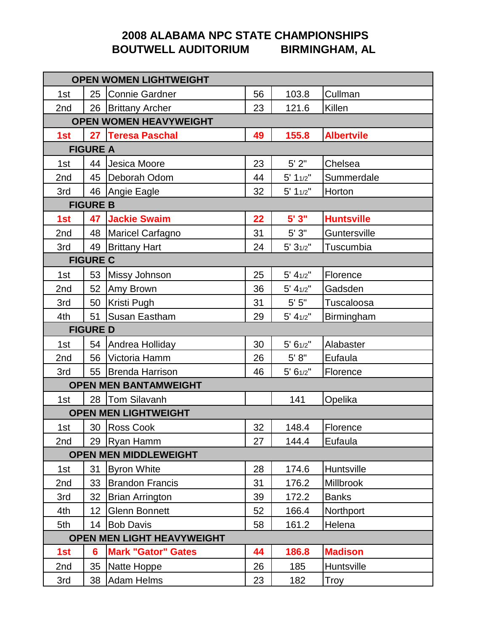# **2008 ALABAMA NPC STATE CHAMPIONSHIPS BOUTWELL AUDITORIUM BIRMINGHAM, AL**

| <b>OPEN WOMEN LIGHTWEIGHT</b>     |                              |                              |    |                |                   |  |  |  |
|-----------------------------------|------------------------------|------------------------------|----|----------------|-------------------|--|--|--|
| 1st                               |                              | 25 Connie Gardner            | 56 | 103.8          | Cullman           |  |  |  |
| 2nd                               |                              | 26 Brittany Archer           | 23 | 121.6          | Killen            |  |  |  |
| <b>OPEN WOMEN HEAVYWEIGHT</b>     |                              |                              |    |                |                   |  |  |  |
| 1st                               |                              | 27 Teresa Paschal            | 49 | 155.8          | <b>Albertvile</b> |  |  |  |
| <b>FIGURE A</b>                   |                              |                              |    |                |                   |  |  |  |
| 1st                               |                              | 44 Jesica Moore              | 23 | $5'$ 2"        | Chelsea           |  |  |  |
| 2nd                               | 45                           | Deborah Odom                 | 44 | 5' 11/2"       | Summerdale        |  |  |  |
| 3rd                               |                              | 46 Angie Eagle               | 32 | 5' 11/2"       | Horton            |  |  |  |
| <b>FIGURE B</b>                   |                              |                              |    |                |                   |  |  |  |
| 1st                               | 47                           | <b>Jackie Swaim</b>          | 22 | 5'3''          | <b>Huntsville</b> |  |  |  |
| 2nd                               |                              | 48   Maricel Carfagno        | 31 | 5'3"           | Guntersville      |  |  |  |
| 3rd                               |                              | 49 Brittany Hart             | 24 | 5' 31/2"       | Tuscumbia         |  |  |  |
| <b>FIGURE C</b>                   |                              |                              |    |                |                   |  |  |  |
| 1st                               |                              | 53 Missy Johnson             | 25 | $5' 4_{1/2}''$ | Florence          |  |  |  |
| 2nd                               |                              | 52 Amy Brown                 | 36 | $5' 4_{1/2}''$ | Gadsden           |  |  |  |
| 3rd                               | 50                           | Kristi Pugh                  | 31 | $5'$ $5"$      | Tuscaloosa        |  |  |  |
| 4th                               | 51                           | Susan Eastham                | 29 | $5' 4_{1/2}''$ | Birmingham        |  |  |  |
|                                   | <b>FIGURE D</b>              |                              |    |                |                   |  |  |  |
| 1st                               |                              | 54 Andrea Holliday           | 30 | 5' 61/2"       | Alabaster         |  |  |  |
| 2nd                               | 56                           | Victoria Hamm                | 26 | 5' 8"          | Eufaula           |  |  |  |
| 3rd                               |                              | 55 Brenda Harrison           | 46 | 5' 61/2"       | Florence          |  |  |  |
|                                   | <b>OPEN MEN BANTAMWEIGHT</b> |                              |    |                |                   |  |  |  |
| 1st                               |                              | 28   Tom Silavanh            |    | 141            | Opelika           |  |  |  |
| <b>OPEN MEN LIGHTWEIGHT</b>       |                              |                              |    |                |                   |  |  |  |
| 1st                               |                              | 30 Ross Cook                 | 32 | 148.4          | Florence          |  |  |  |
| 2nd                               |                              | 29   Ryan Hamm               | 27 | 144.4          | Eufaula           |  |  |  |
|                                   |                              | <b>OPEN MEN MIDDLEWEIGHT</b> |    |                |                   |  |  |  |
| 1st                               | 31                           | <b>Byron White</b>           | 28 | 174.6          | Huntsville        |  |  |  |
| 2nd                               | 33                           | <b>Brandon Francis</b>       | 31 | 176.2          | Millbrook         |  |  |  |
| 3rd                               | 32                           | <b>Brian Arrington</b>       | 39 | 172.2          | <b>Banks</b>      |  |  |  |
| 4th                               | 12 <sub>2</sub>              | <b>Glenn Bonnett</b>         | 52 | 166.4          | Northport         |  |  |  |
| 5th                               |                              | 14   Bob Davis               | 58 | 161.2          | Helena            |  |  |  |
| <b>OPEN MEN LIGHT HEAVYWEIGHT</b> |                              |                              |    |                |                   |  |  |  |
| 1st                               | $6\phantom{1}$               | <b>Mark "Gator" Gates</b>    | 44 | 186.8          | <b>Madison</b>    |  |  |  |
| 2nd                               | 35                           | Natte Hoppe                  | 26 | 185            | Huntsville        |  |  |  |
| 3rd                               | 38                           | <b>Adam Helms</b>            | 23 | 182            | Troy              |  |  |  |